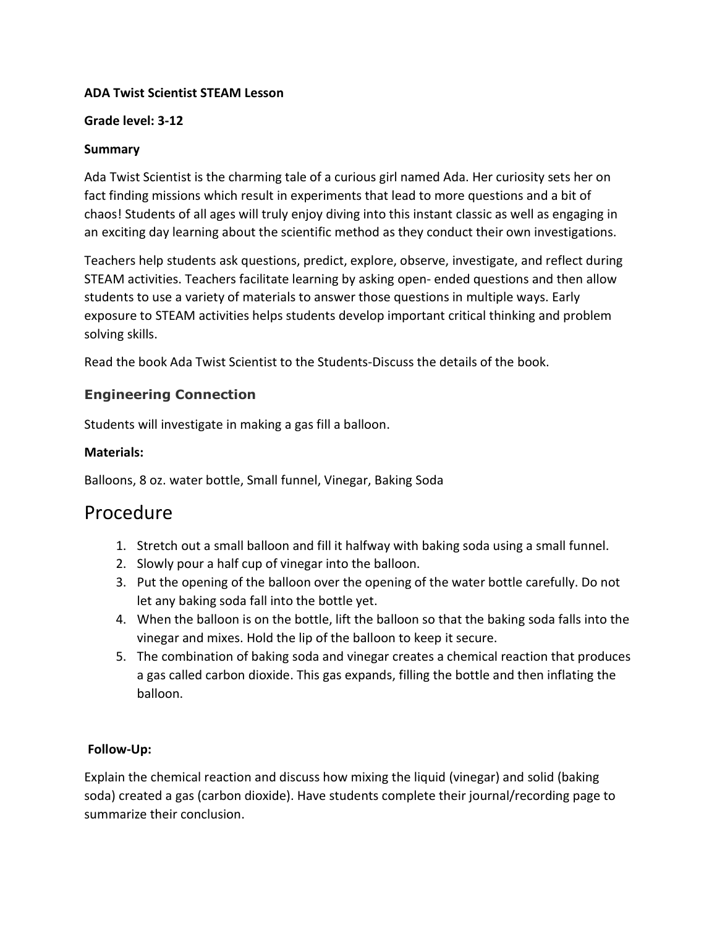#### Grade level: 3-12

## Summary

Ada Twist Scientist is the charming tale of a curious girl named Ada. Her curiosity sets her on fact finding missions which result in experiments that lead to more questions and a bit of chaos! Students of all ages will truly enjoy diving into this instant classic as well as engaging in an exciting day learning about the scientific method as they conduct their own investigations.

Teachers help students ask questions, predict, explore, observe, investigate, and reflect during STEAM activities. Teachers facilitate learning by asking open- ended questions and then allow students to use a variety of materials to answer those questions in multiple ways. Early exposure to STEAM activities helps students develop important critical thinking and problem solving skills.

Read the book Ada Twist Scientist to the Students-Discuss the details of the book.

# Engineering Connection

Students will investigate in making a gas fill a balloon.

#### Materials:

Balloons, 8 oz. water bottle, Small funnel, Vinegar, Baking Soda

# Procedure

- 1. Stretch out a small balloon and fill it halfway with baking soda using a small funnel.
- 2. Slowly pour a half cup of vinegar into the balloon.
- 3. Put the opening of the balloon over the opening of the water bottle carefully. Do not let any baking soda fall into the bottle yet.
- 4. When the balloon is on the bottle, lift the balloon so that the baking soda falls into the vinegar and mixes. Hold the lip of the balloon to keep it secure.
- 5. The combination of baking soda and vinegar creates a chemical reaction that produces a gas called carbon dioxide. This gas expands, filling the bottle and then inflating the balloon.

# Follow-Up:

Explain the chemical reaction and discuss how mixing the liquid (vinegar) and solid (baking soda) created a gas (carbon dioxide). Have students complete their journal/recording page to summarize their conclusion.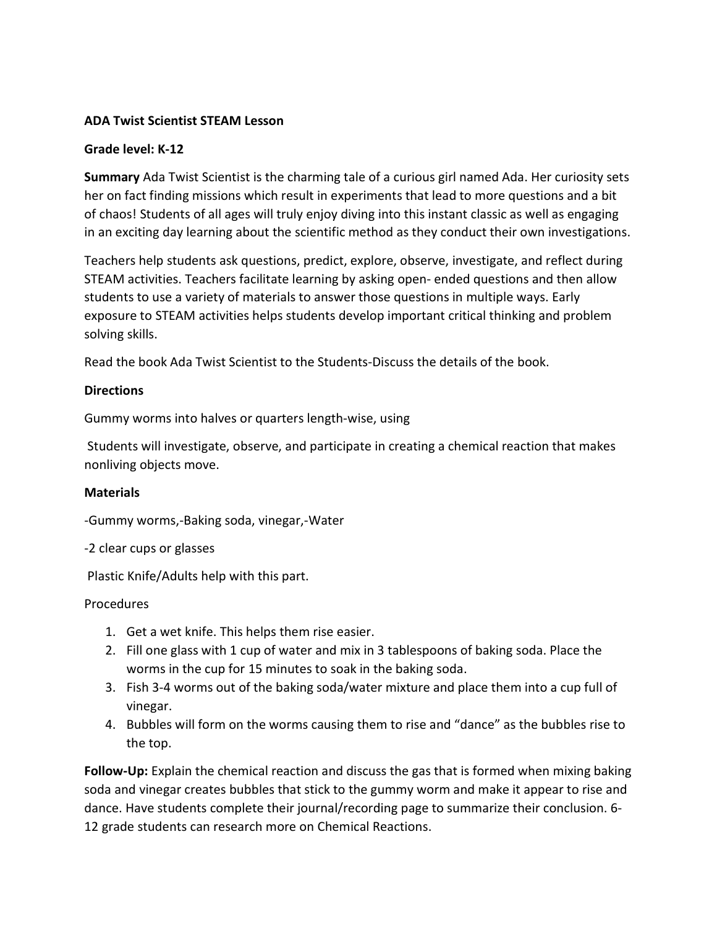#### Grade level: K-12

Summary Ada Twist Scientist is the charming tale of a curious girl named Ada. Her curiosity sets her on fact finding missions which result in experiments that lead to more questions and a bit of chaos! Students of all ages will truly enjoy diving into this instant classic as well as engaging in an exciting day learning about the scientific method as they conduct their own investigations.

Teachers help students ask questions, predict, explore, observe, investigate, and reflect during STEAM activities. Teachers facilitate learning by asking open- ended questions and then allow students to use a variety of materials to answer those questions in multiple ways. Early exposure to STEAM activities helps students develop important critical thinking and problem solving skills.

Read the book Ada Twist Scientist to the Students-Discuss the details of the book.

#### **Directions**

Gummy worms into halves or quarters length-wise, using

 Students will investigate, observe, and participate in creating a chemical reaction that makes nonliving objects move.

#### **Materials**

-Gummy worms,-Baking soda, vinegar,-Water

-2 clear cups or glasses

Plastic Knife/Adults help with this part.

#### **Procedures**

- 1. Get a wet knife. This helps them rise easier.
- 2. Fill one glass with 1 cup of water and mix in 3 tablespoons of baking soda. Place the worms in the cup for 15 minutes to soak in the baking soda.
- 3. Fish 3-4 worms out of the baking soda/water mixture and place them into a cup full of vinegar.
- 4. Bubbles will form on the worms causing them to rise and "dance" as the bubbles rise to the top.

Follow-Up: Explain the chemical reaction and discuss the gas that is formed when mixing baking soda and vinegar creates bubbles that stick to the gummy worm and make it appear to rise and dance. Have students complete their journal/recording page to summarize their conclusion. 6- 12 grade students can research more on Chemical Reactions.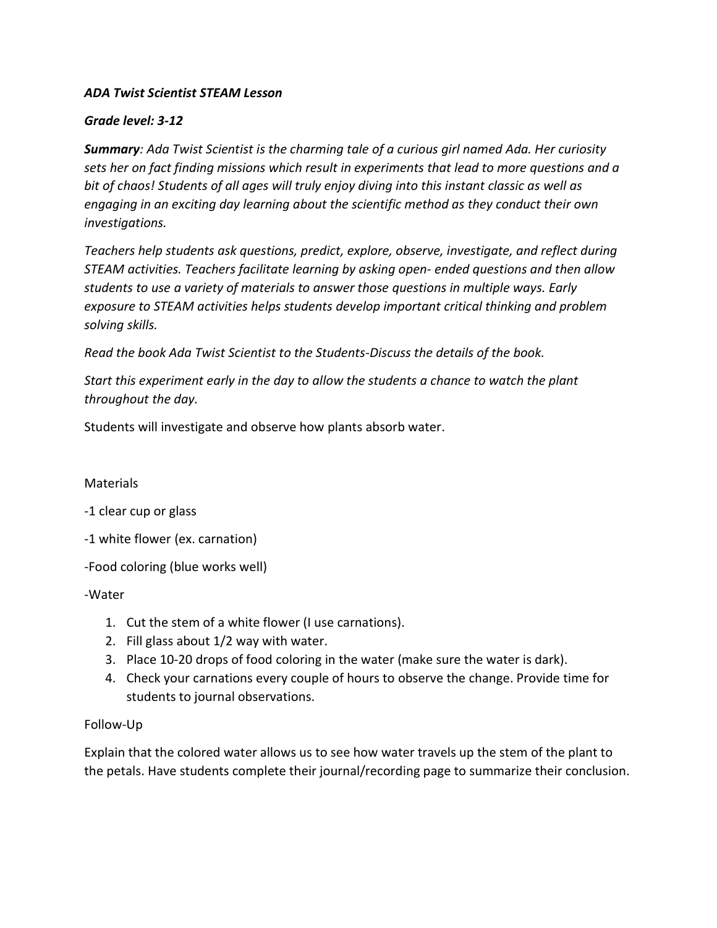#### Grade level: 3-12

**Summary:** Ada Twist Scientist is the charming tale of a curious girl named Ada. Her curiosity sets her on fact finding missions which result in experiments that lead to more questions and a bit of chaos! Students of all ages will truly enjoy diving into this instant classic as well as engaging in an exciting day learning about the scientific method as they conduct their own investigations.

Teachers help students ask questions, predict, explore, observe, investigate, and reflect during STEAM activities. Teachers facilitate learning by asking open- ended questions and then allow students to use a variety of materials to answer those questions in multiple ways. Early exposure to STEAM activities helps students develop important critical thinking and problem solving skills.

Read the book Ada Twist Scientist to the Students-Discuss the details of the book.

Start this experiment early in the day to allow the students a chance to watch the plant throughout the day.

Students will investigate and observe how plants absorb water.

#### **Materials**

-1 clear cup or glass

-1 white flower (ex. carnation)

-Food coloring (blue works well)

-Water

- 1. Cut the stem of a white flower (I use carnations).
- 2. Fill glass about 1/2 way with water.
- 3. Place 10-20 drops of food coloring in the water (make sure the water is dark).
- 4. Check your carnations every couple of hours to observe the change. Provide time for students to journal observations.

#### Follow-Up

Explain that the colored water allows us to see how water travels up the stem of the plant to the petals. Have students complete their journal/recording page to summarize their conclusion.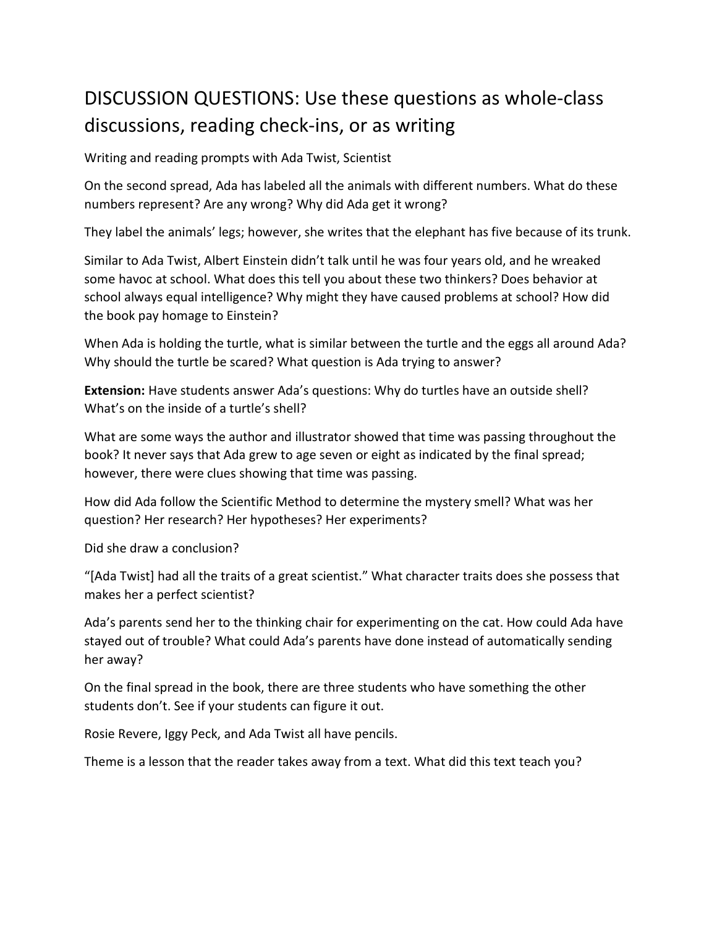# DISCUSSION QUESTIONS: Use these questions as whole-class discussions, reading check-ins, or as writing

Writing and reading prompts with Ada Twist, Scientist

On the second spread, Ada has labeled all the animals with different numbers. What do these numbers represent? Are any wrong? Why did Ada get it wrong?

They label the animals' legs; however, she writes that the elephant has five because of its trunk.

Similar to Ada Twist, Albert Einstein didn't talk until he was four years old, and he wreaked some havoc at school. What does this tell you about these two thinkers? Does behavior at school always equal intelligence? Why might they have caused problems at school? How did the book pay homage to Einstein?

When Ada is holding the turtle, what is similar between the turtle and the eggs all around Ada? Why should the turtle be scared? What question is Ada trying to answer?

Extension: Have students answer Ada's questions: Why do turtles have an outside shell? What's on the inside of a turtle's shell?

What are some ways the author and illustrator showed that time was passing throughout the book? It never says that Ada grew to age seven or eight as indicated by the final spread; however, there were clues showing that time was passing.

How did Ada follow the Scientific Method to determine the mystery smell? What was her question? Her research? Her hypotheses? Her experiments?

Did she draw a conclusion?

"[Ada Twist] had all the traits of a great scientist." What character traits does she possess that makes her a perfect scientist?

Ada's parents send her to the thinking chair for experimenting on the cat. How could Ada have stayed out of trouble? What could Ada's parents have done instead of automatically sending her away?

On the final spread in the book, there are three students who have something the other students don't. See if your students can figure it out.

Rosie Revere, Iggy Peck, and Ada Twist all have pencils.

Theme is a lesson that the reader takes away from a text. What did this text teach you?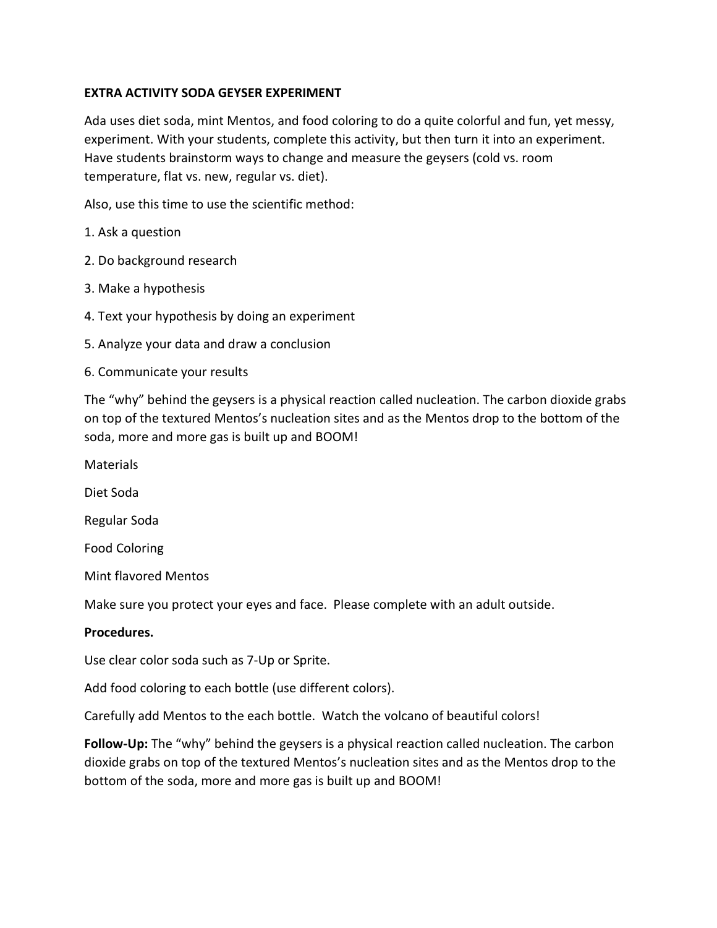### EXTRA ACTIVITY SODA GEYSER EXPERIMENT

Ada uses diet soda, mint Mentos, and food coloring to do a quite colorful and fun, yet messy, experiment. With your students, complete this activity, but then turn it into an experiment. Have students brainstorm ways to change and measure the geysers (cold vs. room temperature, flat vs. new, regular vs. diet).

Also, use this time to use the scientific method:

- 1. Ask a question
- 2. Do background research
- 3. Make a hypothesis
- 4. Text your hypothesis by doing an experiment
- 5. Analyze your data and draw a conclusion
- 6. Communicate your results

The "why" behind the geysers is a physical reaction called nucleation. The carbon dioxide grabs on top of the textured Mentos's nucleation sites and as the Mentos drop to the bottom of the soda, more and more gas is built up and BOOM!

**Materials** 

Diet Soda

Regular Soda

Food Coloring

Mint flavored Mentos

Make sure you protect your eyes and face. Please complete with an adult outside.

#### Procedures.

Use clear color soda such as 7-Up or Sprite.

Add food coloring to each bottle (use different colors).

Carefully add Mentos to the each bottle. Watch the volcano of beautiful colors!

Follow-Up: The "why" behind the geysers is a physical reaction called nucleation. The carbon dioxide grabs on top of the textured Mentos's nucleation sites and as the Mentos drop to the bottom of the soda, more and more gas is built up and BOOM!